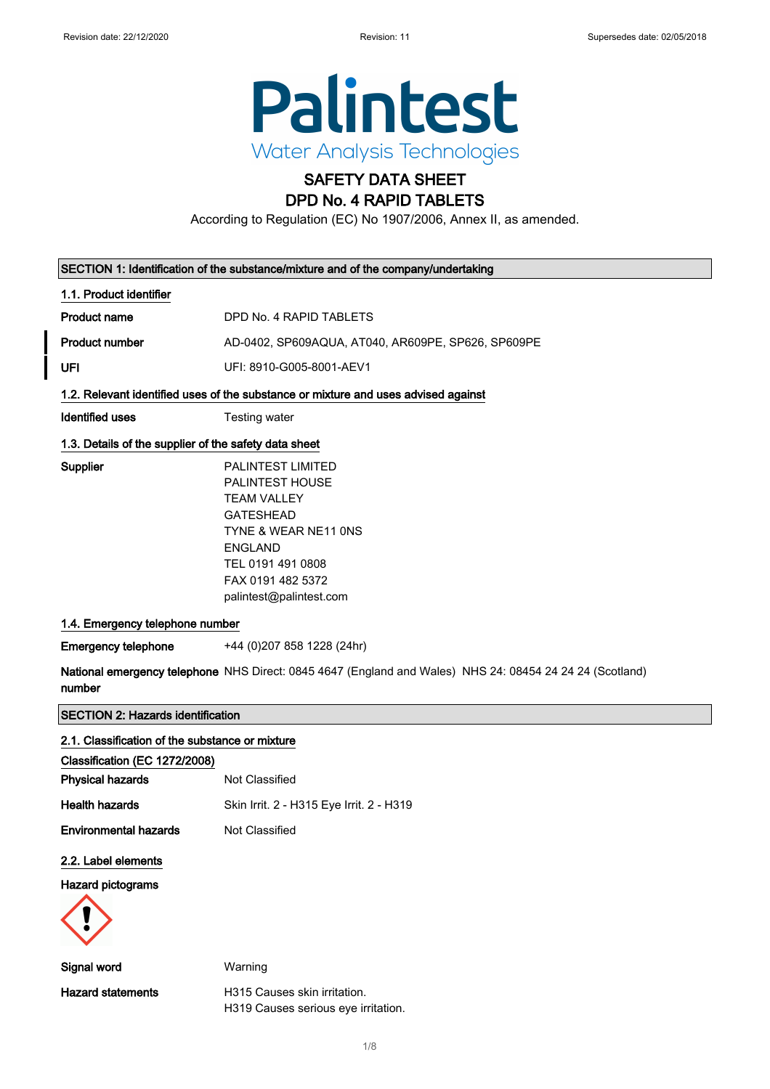

# SAFETY DATA SHEET

## DPD No. 4 RAPID TABLETS

According to Regulation (EC) No 1907/2006, Annex II, as amended.

|                                                       | SECTION 1: Identification of the substance/mixture and of the company/undertaking                                                                                                             |
|-------------------------------------------------------|-----------------------------------------------------------------------------------------------------------------------------------------------------------------------------------------------|
| 1.1. Product identifier                               |                                                                                                                                                                                               |
| <b>Product name</b>                                   | DPD No. 4 RAPID TABLETS                                                                                                                                                                       |
| <b>Product number</b>                                 | AD-0402, SP609AQUA, AT040, AR609PE, SP626, SP609PE                                                                                                                                            |
| UFI                                                   | UFI: 8910-G005-8001-AEV1                                                                                                                                                                      |
|                                                       | 1.2. Relevant identified uses of the substance or mixture and uses advised against                                                                                                            |
| Identified uses                                       | Testing water                                                                                                                                                                                 |
| 1.3. Details of the supplier of the safety data sheet |                                                                                                                                                                                               |
| Supplier                                              | PALINTEST LIMITED<br>PALINTEST HOUSE<br><b>TEAM VALLEY</b><br><b>GATESHEAD</b><br>TYNE & WEAR NE11 ONS<br><b>ENGLAND</b><br>TEL 0191 491 0808<br>FAX 0191 482 5372<br>palintest@palintest.com |
| 1.4. Emergency telephone number                       |                                                                                                                                                                                               |
| <b>Emergency telephone</b>                            | +44 (0)207 858 1228 (24hr)                                                                                                                                                                    |
| number                                                | National emergency telephone NHS Direct: 0845 4647 (England and Wales) NHS 24: 08454 24 24 24 (Scotland)                                                                                      |
| <b>SECTION 2: Hazards identification</b>              |                                                                                                                                                                                               |
| 2.1. Classification of the substance or mixture       |                                                                                                                                                                                               |
| Classification (EC 1272/2008)                         |                                                                                                                                                                                               |
| <b>Physical hazards</b>                               | Not Classified                                                                                                                                                                                |
| <b>Health hazards</b>                                 | Skin Irrit. 2 - H315 Eye Irrit. 2 - H319                                                                                                                                                      |

Environmental hazards Not Classified

### 2.2. Label elements

Hazard pictograms



Signal word Warning Hazard statements **H315** Causes skin irritation. H319 Causes serious eye irritation.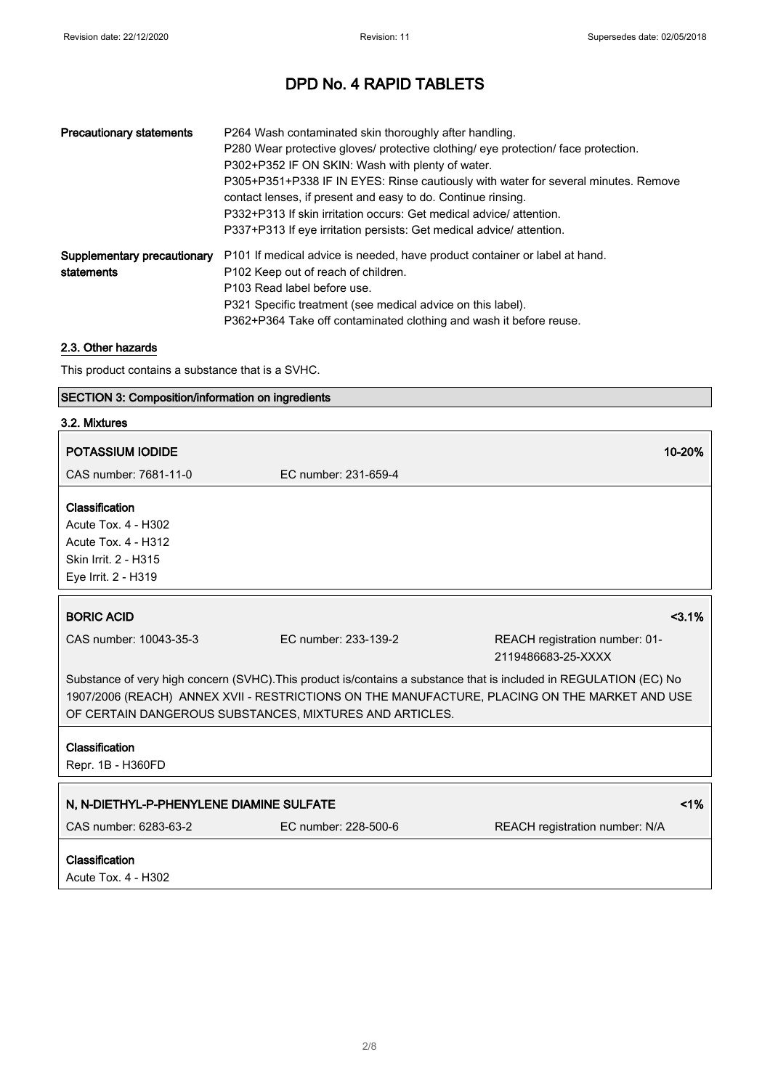| <b>Precautionary statements</b>           | P264 Wash contaminated skin thoroughly after handling.<br>P280 Wear protective gloves/ protective clothing/ eye protection/ face protection.<br>P302+P352 IF ON SKIN: Wash with plenty of water.<br>P305+P351+P338 IF IN EYES: Rinse cautiously with water for several minutes. Remove<br>contact lenses, if present and easy to do. Continue rinsing.<br>P332+P313 If skin irritation occurs: Get medical advice/attention.<br>P337+P313 If eye irritation persists: Get medical advice/ attention. |
|-------------------------------------------|------------------------------------------------------------------------------------------------------------------------------------------------------------------------------------------------------------------------------------------------------------------------------------------------------------------------------------------------------------------------------------------------------------------------------------------------------------------------------------------------------|
| Supplementary precautionary<br>statements | P101 If medical advice is needed, have product container or label at hand.<br>P102 Keep out of reach of children.<br>P103 Read label before use.<br>P321 Specific treatment (see medical advice on this label).<br>P362+P364 Take off contaminated clothing and wash it before reuse.                                                                                                                                                                                                                |

### 2.3. Other hazards

This product contains a substance that is a SVHC.

### SECTION 3: Composition/information on ingredients

| 3.2. Mixtures                                           |                      |                                                                                                                    |
|---------------------------------------------------------|----------------------|--------------------------------------------------------------------------------------------------------------------|
| <b>POTASSIUM IODIDE</b>                                 |                      | 10-20%                                                                                                             |
| CAS number: 7681-11-0                                   | EC number: 231-659-4 |                                                                                                                    |
| Classification                                          |                      |                                                                                                                    |
| Acute Tox. 4 - H302                                     |                      |                                                                                                                    |
| <b>Acute Tox. 4 - H312</b>                              |                      |                                                                                                                    |
| Skin Irrit. 2 - H315                                    |                      |                                                                                                                    |
| Eye Irrit. 2 - H319                                     |                      |                                                                                                                    |
|                                                         |                      |                                                                                                                    |
| <b>BORIC ACID</b>                                       |                      | $<3.1\%$                                                                                                           |
| CAS number: 10043-35-3                                  | EC number: 233-139-2 | REACH registration number: 01-                                                                                     |
|                                                         |                      | 2119486683-25-XXXX                                                                                                 |
|                                                         |                      | Substance of very high concern (SVHC). This product is/contains a substance that is included in REGULATION (EC) No |
|                                                         |                      | 1907/2006 (REACH) ANNEX XVII - RESTRICTIONS ON THE MANUFACTURE, PLACING ON THE MARKET AND USE                      |
| OF CERTAIN DANGEROUS SUBSTANCES, MIXTURES AND ARTICLES. |                      |                                                                                                                    |
| Classification                                          |                      |                                                                                                                    |
| Repr. 1B - H360FD                                       |                      |                                                                                                                    |
|                                                         |                      |                                                                                                                    |
| N, N-DIETHYL-P-PHENYLENE DIAMINE SULFATE                |                      | 1%                                                                                                                 |
| CAS number: 6283-63-2                                   | EC number: 228-500-6 | REACH registration number: N/A                                                                                     |
| Classification                                          |                      |                                                                                                                    |
| Acute Tox. 4 - H302                                     |                      |                                                                                                                    |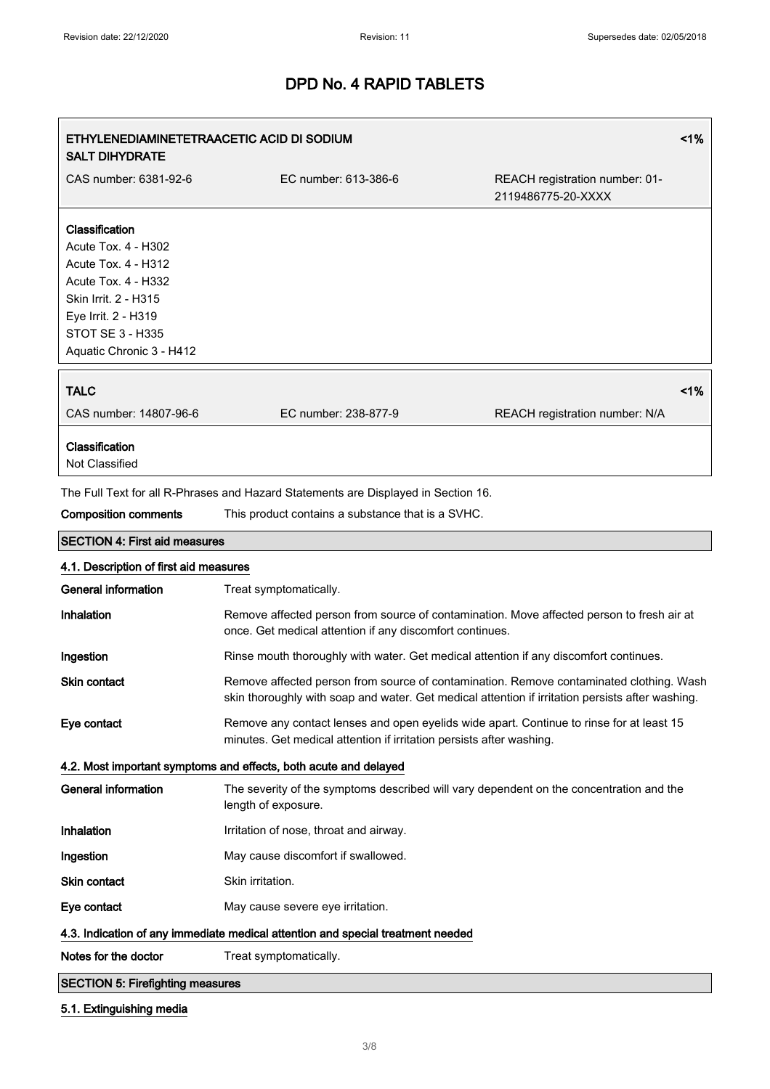| ETHYLENEDIAMINETETRAACETIC ACID DI SODIUM<br><b>SALT DIHYDRATE</b>                                                                                                                               |                                                                                                                                                                                             | 1%                                                   |
|--------------------------------------------------------------------------------------------------------------------------------------------------------------------------------------------------|---------------------------------------------------------------------------------------------------------------------------------------------------------------------------------------------|------------------------------------------------------|
| CAS number: 6381-92-6                                                                                                                                                                            | EC number: 613-386-6                                                                                                                                                                        | REACH registration number: 01-<br>2119486775-20-XXXX |
| Classification<br>Acute Tox. 4 - H302<br>Acute Tox. 4 - H312<br><b>Acute Tox. 4 - H332</b><br>Skin Irrit. 2 - H315<br>Eye Irrit. 2 - H319<br><b>STOT SE 3 - H335</b><br>Aquatic Chronic 3 - H412 |                                                                                                                                                                                             |                                                      |
| <b>TALC</b><br>CAS number: 14807-96-6                                                                                                                                                            | EC number: 238-877-9                                                                                                                                                                        | 1%<br>REACH registration number: N/A                 |
| Classification<br>Not Classified                                                                                                                                                                 |                                                                                                                                                                                             |                                                      |
|                                                                                                                                                                                                  | The Full Text for all R-Phrases and Hazard Statements are Displayed in Section 16.                                                                                                          |                                                      |
| <b>Composition comments</b>                                                                                                                                                                      | This product contains a substance that is a SVHC.                                                                                                                                           |                                                      |
| <b>SECTION 4: First aid measures</b>                                                                                                                                                             |                                                                                                                                                                                             |                                                      |
| 4.1. Description of first aid measures                                                                                                                                                           |                                                                                                                                                                                             |                                                      |
| <b>General information</b>                                                                                                                                                                       | Treat symptomatically.                                                                                                                                                                      |                                                      |
| Inhalation                                                                                                                                                                                       | Remove affected person from source of contamination. Move affected person to fresh air at<br>once. Get medical attention if any discomfort continues.                                       |                                                      |
| Ingestion                                                                                                                                                                                        | Rinse mouth thoroughly with water. Get medical attention if any discomfort continues.                                                                                                       |                                                      |
| <b>Skin contact</b>                                                                                                                                                                              | Remove affected person from source of contamination. Remove contaminated clothing. Wash<br>skin thoroughly with soap and water. Get medical attention if irritation persists after washing. |                                                      |
| Eye contact                                                                                                                                                                                      | Remove any contact lenses and open eyelids wide apart. Continue to rinse for at least 15<br>minutes. Get medical attention if irritation persists after washing.                            |                                                      |
|                                                                                                                                                                                                  | 4.2. Most important symptoms and effects, both acute and delayed                                                                                                                            |                                                      |
| <b>General information</b>                                                                                                                                                                       | The severity of the symptoms described will vary dependent on the concentration and the<br>length of exposure.                                                                              |                                                      |
| Inhalation                                                                                                                                                                                       | Irritation of nose, throat and airway.                                                                                                                                                      |                                                      |
| Ingestion                                                                                                                                                                                        | May cause discomfort if swallowed.                                                                                                                                                          |                                                      |
| <b>Skin contact</b>                                                                                                                                                                              | Skin irritation.                                                                                                                                                                            |                                                      |
| Eye contact                                                                                                                                                                                      | May cause severe eye irritation.                                                                                                                                                            |                                                      |
|                                                                                                                                                                                                  | 4.3. Indication of any immediate medical attention and special treatment needed                                                                                                             |                                                      |
| Notes for the doctor                                                                                                                                                                             | Treat symptomatically.                                                                                                                                                                      |                                                      |
| <b>SECTION 5: Firefighting measures</b>                                                                                                                                                          |                                                                                                                                                                                             |                                                      |

### 5.1. Extinguishing media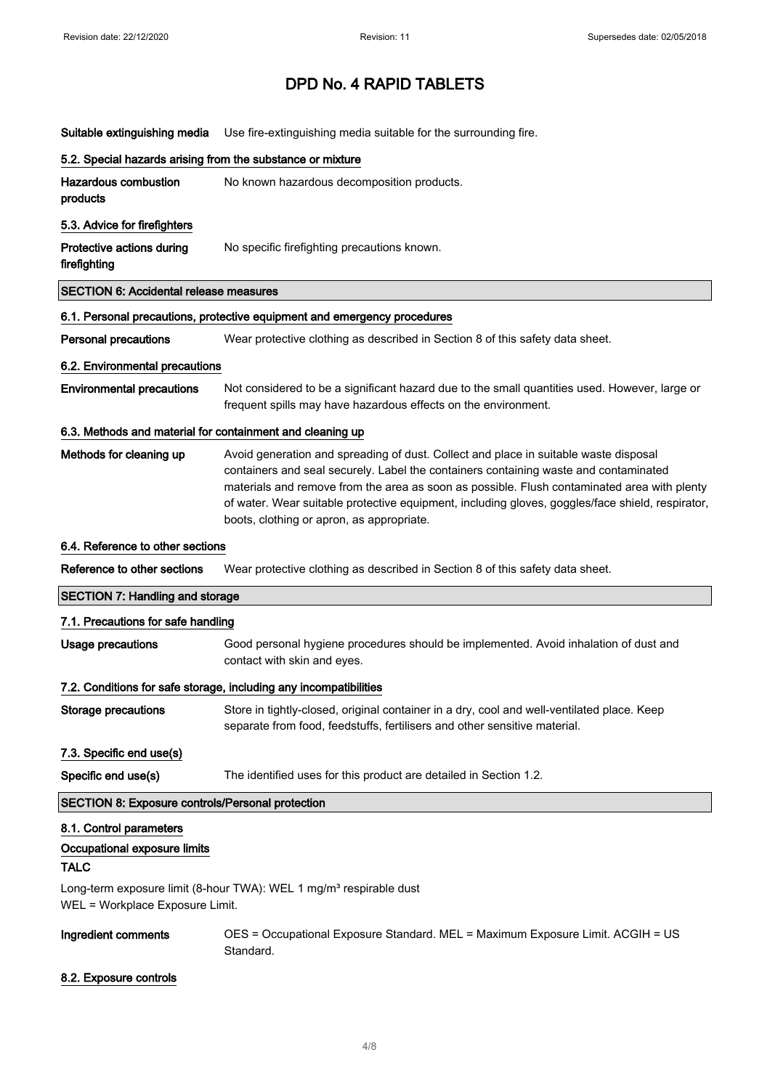| Suitable extinguishing media                               | Use fire-extinguishing media suitable for the surrounding fire.                                                                                                                                                                                                                                                                                                                                                              |
|------------------------------------------------------------|------------------------------------------------------------------------------------------------------------------------------------------------------------------------------------------------------------------------------------------------------------------------------------------------------------------------------------------------------------------------------------------------------------------------------|
| 5.2. Special hazards arising from the substance or mixture |                                                                                                                                                                                                                                                                                                                                                                                                                              |
| <b>Hazardous combustion</b><br>products                    | No known hazardous decomposition products.                                                                                                                                                                                                                                                                                                                                                                                   |
| 5.3. Advice for firefighters                               |                                                                                                                                                                                                                                                                                                                                                                                                                              |
| Protective actions during<br>firefighting                  | No specific firefighting precautions known.                                                                                                                                                                                                                                                                                                                                                                                  |
| <b>SECTION 6: Accidental release measures</b>              |                                                                                                                                                                                                                                                                                                                                                                                                                              |
|                                                            | 6.1. Personal precautions, protective equipment and emergency procedures                                                                                                                                                                                                                                                                                                                                                     |
| <b>Personal precautions</b>                                | Wear protective clothing as described in Section 8 of this safety data sheet.                                                                                                                                                                                                                                                                                                                                                |
| 6.2. Environmental precautions                             |                                                                                                                                                                                                                                                                                                                                                                                                                              |
| <b>Environmental precautions</b>                           | Not considered to be a significant hazard due to the small quantities used. However, large or<br>frequent spills may have hazardous effects on the environment.                                                                                                                                                                                                                                                              |
| 6.3. Methods and material for containment and cleaning up  |                                                                                                                                                                                                                                                                                                                                                                                                                              |
| Methods for cleaning up                                    | Avoid generation and spreading of dust. Collect and place in suitable waste disposal<br>containers and seal securely. Label the containers containing waste and contaminated<br>materials and remove from the area as soon as possible. Flush contaminated area with plenty<br>of water. Wear suitable protective equipment, including gloves, goggles/face shield, respirator,<br>boots, clothing or apron, as appropriate. |
| 6.4. Reference to other sections                           |                                                                                                                                                                                                                                                                                                                                                                                                                              |
| Reference to other sections                                | Wear protective clothing as described in Section 8 of this safety data sheet.                                                                                                                                                                                                                                                                                                                                                |
| <b>SECTION 7: Handling and storage</b>                     |                                                                                                                                                                                                                                                                                                                                                                                                                              |
| 7.1. Precautions for safe handling                         |                                                                                                                                                                                                                                                                                                                                                                                                                              |
| <b>Usage precautions</b>                                   | Good personal hygiene procedures should be implemented. Avoid inhalation of dust and<br>contact with skin and eyes.                                                                                                                                                                                                                                                                                                          |
|                                                            | 7.2. Conditions for safe storage, including any incompatibilities                                                                                                                                                                                                                                                                                                                                                            |
| <b>Storage precautions</b>                                 | Store in tightly-closed, original container in a dry, cool and well-ventilated place. Keep<br>separate from food, feedstuffs, fertilisers and other sensitive material.                                                                                                                                                                                                                                                      |
| 7.3. Specific end use(s)                                   |                                                                                                                                                                                                                                                                                                                                                                                                                              |
| Specific end use(s)                                        | The identified uses for this product are detailed in Section 1.2.                                                                                                                                                                                                                                                                                                                                                            |
| SECTION 8: Exposure controls/Personal protection           |                                                                                                                                                                                                                                                                                                                                                                                                                              |
| 8.1. Control parameters                                    |                                                                                                                                                                                                                                                                                                                                                                                                                              |
| Occupational exposure limits<br><b>TALC</b>                |                                                                                                                                                                                                                                                                                                                                                                                                                              |
| WEL = Workplace Exposure Limit.                            | Long-term exposure limit (8-hour TWA): WEL 1 mg/m <sup>3</sup> respirable dust                                                                                                                                                                                                                                                                                                                                               |
|                                                            |                                                                                                                                                                                                                                                                                                                                                                                                                              |

### 8.2. Exposure controls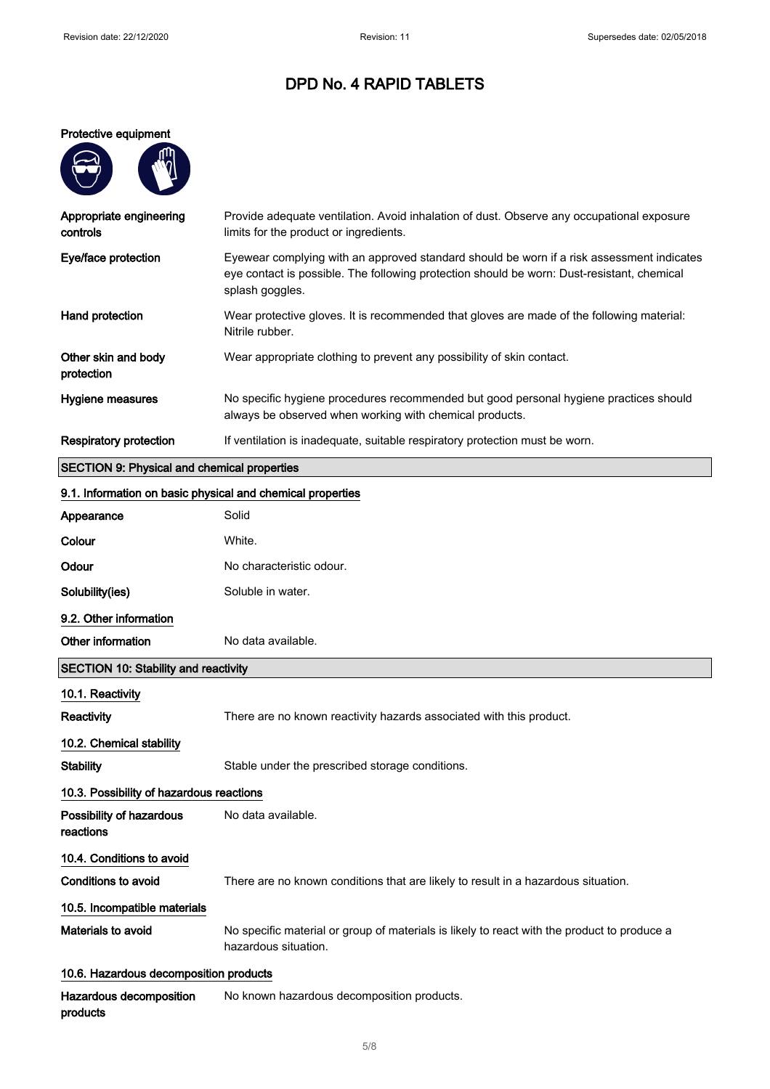#### Protective equipment

| Ųų |
|----|
|    |
|    |
|    |

products

| Appropriate engineering<br>controls                | Provide adequate ventilation. Avoid inhalation of dust. Observe any occupational exposure<br>limits for the product or ingredients.                                                                        |
|----------------------------------------------------|------------------------------------------------------------------------------------------------------------------------------------------------------------------------------------------------------------|
| Eye/face protection                                | Eyewear complying with an approved standard should be worn if a risk assessment indicates<br>eye contact is possible. The following protection should be worn: Dust-resistant, chemical<br>splash goggles. |
| Hand protection                                    | Wear protective gloves. It is recommended that gloves are made of the following material:<br>Nitrile rubber.                                                                                               |
| Other skin and body<br>protection                  | Wear appropriate clothing to prevent any possibility of skin contact.                                                                                                                                      |
| Hygiene measures                                   | No specific hygiene procedures recommended but good personal hygiene practices should<br>always be observed when working with chemical products.                                                           |
| <b>Respiratory protection</b>                      | If ventilation is inadequate, suitable respiratory protection must be worn.                                                                                                                                |
| <b>SECTION 9: Physical and chemical properties</b> |                                                                                                                                                                                                            |

# 9.1. Information on basic physical and chemical properties Appearance Solid Colour White. Odour No characteristic odour. Solubility(ies) Soluble in water. 9.2. Other information Other information No data available. SECTION 10: Stability and reactivity 10.1. Reactivity Reactivity **There are no known reactivity hazards associated with this product.** 10.2. Chemical stability Stability Stable under the prescribed storage conditions. 10.3. Possibility of hazardous reactions Possibility of hazardous reactions No data available. 10.4. Conditions to avoid Conditions to avoid There are no known conditions that are likely to result in a hazardous situation. 10.5. Incompatible materials Materials to avoid No specific material or group of materials is likely to react with the product to produce a hazardous situation. 10.6. Hazardous decomposition products Hazardous decomposition No known hazardous decomposition products.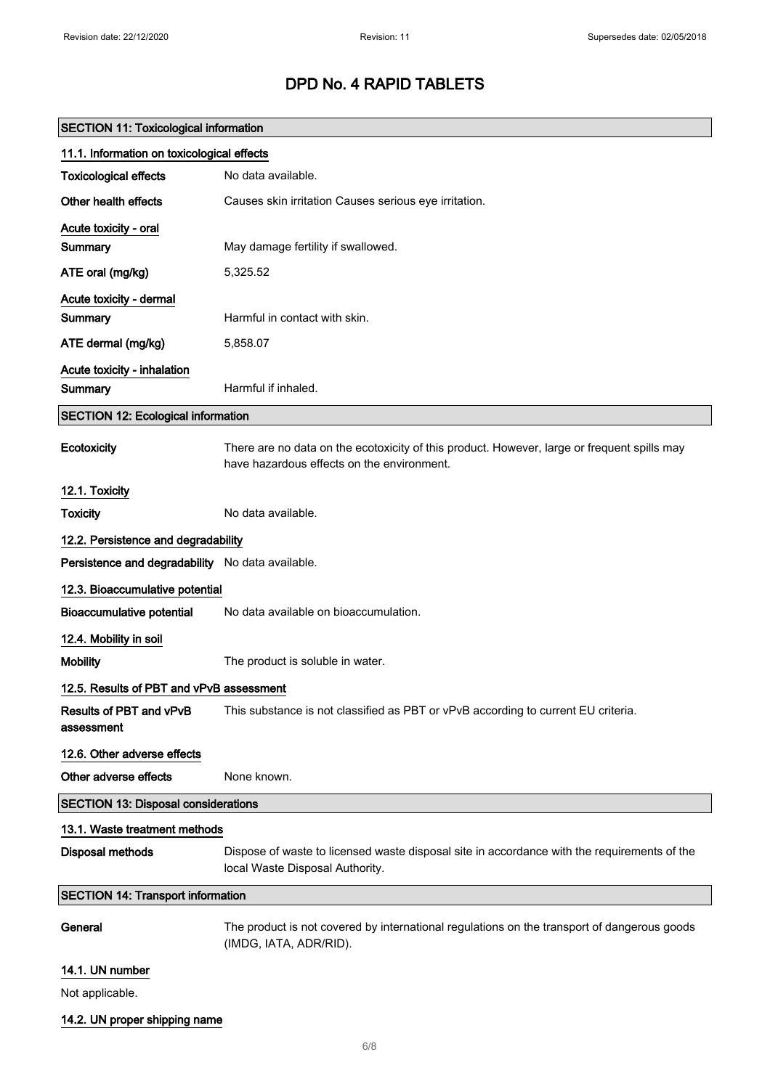| <b>SECTION 11: Toxicological information</b>     |                                                                                                                                           |
|--------------------------------------------------|-------------------------------------------------------------------------------------------------------------------------------------------|
| 11.1. Information on toxicological effects       |                                                                                                                                           |
| <b>Toxicological effects</b>                     | No data available.                                                                                                                        |
| Other health effects                             | Causes skin irritation Causes serious eye irritation.                                                                                     |
| Acute toxicity - oral                            |                                                                                                                                           |
| Summary                                          | May damage fertility if swallowed.                                                                                                        |
| ATE oral (mg/kg)                                 | 5,325.52                                                                                                                                  |
| Acute toxicity - dermal                          |                                                                                                                                           |
| Summary                                          | Harmful in contact with skin.                                                                                                             |
| ATE dermal (mg/kg)                               | 5,858.07                                                                                                                                  |
| Acute toxicity - inhalation                      |                                                                                                                                           |
| Summary                                          | Harmful if inhaled.                                                                                                                       |
| <b>SECTION 12: Ecological information</b>        |                                                                                                                                           |
| Ecotoxicity                                      | There are no data on the ecotoxicity of this product. However, large or frequent spills may<br>have hazardous effects on the environment. |
| 12.1. Toxicity                                   |                                                                                                                                           |
| <b>Toxicity</b>                                  | No data available.                                                                                                                        |
| 12.2. Persistence and degradability              |                                                                                                                                           |
| Persistence and degradability No data available. |                                                                                                                                           |
| 12.3. Bioaccumulative potential                  |                                                                                                                                           |
| <b>Bioaccumulative potential</b>                 | No data available on bioaccumulation.                                                                                                     |
| 12.4. Mobility in soil                           |                                                                                                                                           |
| <b>Mobility</b>                                  | The product is soluble in water.                                                                                                          |
| 12.5. Results of PBT and vPvB assessment         |                                                                                                                                           |
| Results of PBT and vPvB<br>assessment            | This substance is not classified as PBT or vPvB according to current EU criteria.                                                         |
| 12.6. Other adverse effects                      |                                                                                                                                           |
| Other adverse effects                            | None known.                                                                                                                               |
| <b>SECTION 13: Disposal considerations</b>       |                                                                                                                                           |
| 13.1. Waste treatment methods                    |                                                                                                                                           |
| <b>Disposal methods</b>                          | Dispose of waste to licensed waste disposal site in accordance with the requirements of the<br>local Waste Disposal Authority.            |
| <b>SECTION 14: Transport information</b>         |                                                                                                                                           |
| General                                          | The product is not covered by international regulations on the transport of dangerous goods<br>(IMDG, IATA, ADR/RID).                     |
| 14.1. UN number                                  |                                                                                                                                           |
| Not applicable.                                  |                                                                                                                                           |
| 14.2. UN proper shipping name                    |                                                                                                                                           |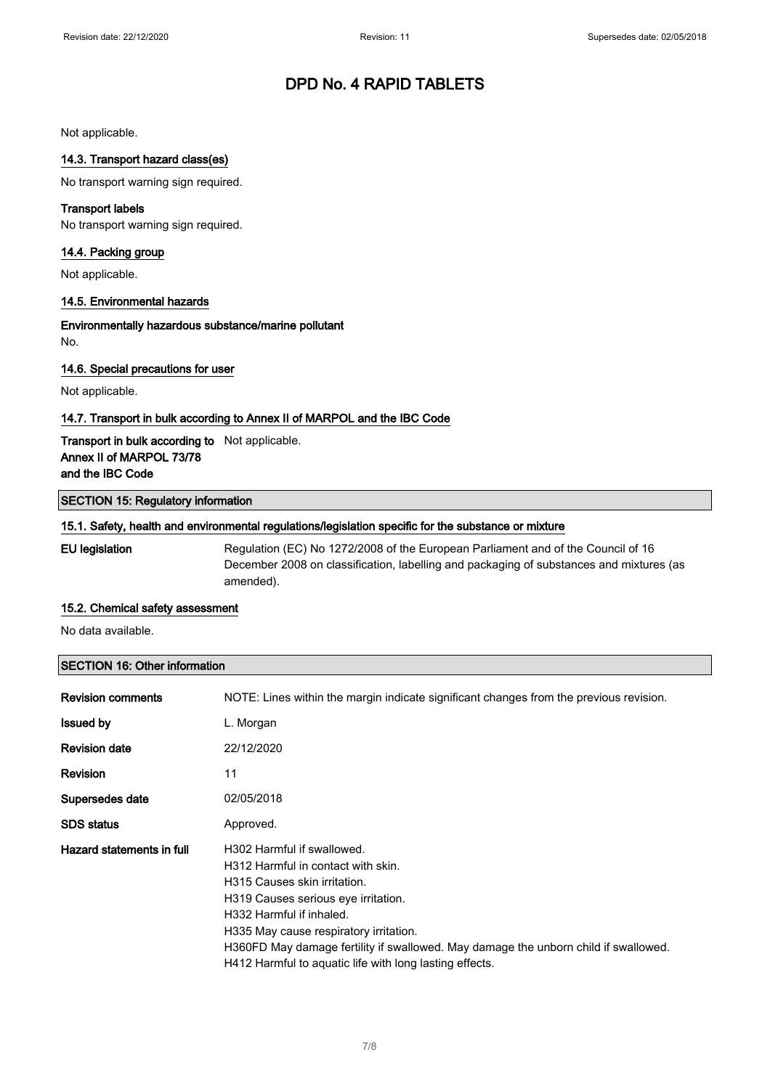Not applicable.

### 14.3. Transport hazard class(es)

No transport warning sign required.

### Transport labels

No transport warning sign required.

### 14.4. Packing group

Not applicable.

#### 14.5. Environmental hazards

Environmentally hazardous substance/marine pollutant No.

### 14.6. Special precautions for user

Not applicable.

### 14.7. Transport in bulk according to Annex II of MARPOL and the IBC Code

### Transport in bulk according to Not applicable. Annex II of MARPOL 73/78 and the IBC Code

#### SECTION 15: Regulatory information

#### 15.1. Safety, health and environmental regulations/legislation specific for the substance or mixture

EU legislation Regulation (EC) No 1272/2008 of the European Parliament and of the Council of 16 December 2008 on classification, labelling and packaging of substances and mixtures (as amended).

### 15.2. Chemical safety assessment

No data available.

### SECTION 16: Other information

| <b>Revision comments</b>  | NOTE: Lines within the margin indicate significant changes from the previous revision.                                                                                                                                                                                                                                                                          |
|---------------------------|-----------------------------------------------------------------------------------------------------------------------------------------------------------------------------------------------------------------------------------------------------------------------------------------------------------------------------------------------------------------|
| <b>Issued by</b>          | L. Morgan                                                                                                                                                                                                                                                                                                                                                       |
| <b>Revision date</b>      | 22/12/2020                                                                                                                                                                                                                                                                                                                                                      |
| <b>Revision</b>           | 11                                                                                                                                                                                                                                                                                                                                                              |
| Supersedes date           | 02/05/2018                                                                                                                                                                                                                                                                                                                                                      |
| <b>SDS</b> status         | Approved.                                                                                                                                                                                                                                                                                                                                                       |
| Hazard statements in full | H302 Harmful if swallowed.<br>H312 Harmful in contact with skin.<br>H315 Causes skin irritation.<br>H319 Causes serious eye irritation.<br>H332 Harmful if inhaled.<br>H335 May cause respiratory irritation.<br>H360FD May damage fertility if swallowed. May damage the unborn child if swallowed.<br>H412 Harmful to aquatic life with long lasting effects. |